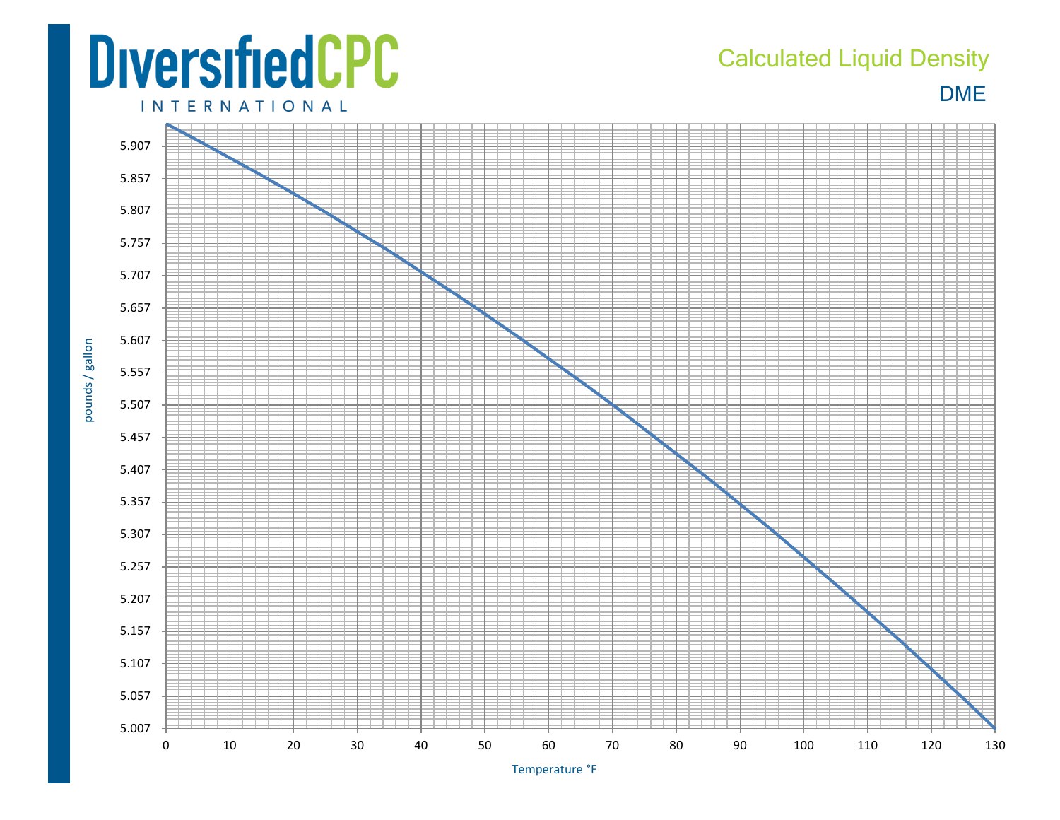## **DiversifiedCPC**

## DME Calculated Liquid Density

**INTERNATIONAL** 

pounds / gallon



Temperature °F